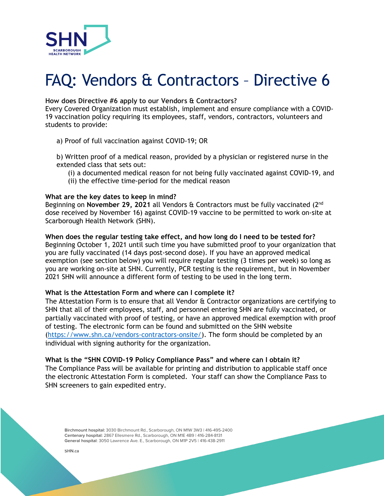

# FAQ: Vendors & Contractors – Directive 6

## **How does Directive #6 apply to our Vendors & Contractors?**

Every Covered Organization must establish, implement and ensure compliance with a COVID-19 vaccination policy requiring its employees, staff, vendors, contractors, volunteers and students to provide:

## a) Proof of full vaccination against COVID-19; OR

b) Written proof of a medical reason, provided by a physician or registered nurse in the extended class that sets out:

- (i) a documented medical reason for not being fully vaccinated against COVID-19, and
- (ii) the effective time-period for the medical reason

## **What are the key dates to keep in mind?**

Beginning on **November 29, 2021** all Vendors & Contractors must be fully vaccinated (2nd dose received by November 16) against COVID-19 vaccine to be permitted to work on-site at Scarborough Health Network (SHN).

### **When does the regular testing take effect, and how long do I need to be tested for?**

Beginning October 1, 2021 until such time you have submitted proof to your organization that you are fully vaccinated (14 days post-second dose). If you have an approved medical exemption (see section below) you will require regular testing (3 times per week) so long as you are working on-site at SHN. Currently, PCR testing is the requirement, but in November 2021 SHN will announce a different form of testing to be used in the long term.

### **What is the Attestation Form and where can I complete it?**

The Attestation Form is to ensure that all Vendor & Contractor organizations are certifying to SHN that all of their employees, staff, and personnel entering SHN are fully vaccinated, or partially vaccinated with proof of testing, or have an approved medical exemption with proof of testing. The electronic form can be found and submitted on the SHN website (https://www.shn.ca/vendors-contractors-onsite/). The form should be completed by an individual with signing authority for the organization.

**What is the "SHN COVID-19 Policy Compliance Pass" and where can I obtain it?** The Compliance Pass will be available for printing and distribution to applicable staff once the electronic Attestation Form is completed. Your staff can show the Compliance Pass to SHN screeners to gain expedited entry.

**Birchmount hospital:** 3030 Birchmount Rd., Scarborough, ON M1W 3W3 | 416-495-2400 **Centenary hospital:** 2867 Ellesmere Rd., Scarborough, ON M1E 4B9 | 416-284-8131 **General hospital**: 3050 Lawrence Ave. E., Scarborough, ON M1P 2V5 | 416-438-2911

**SHN.ca**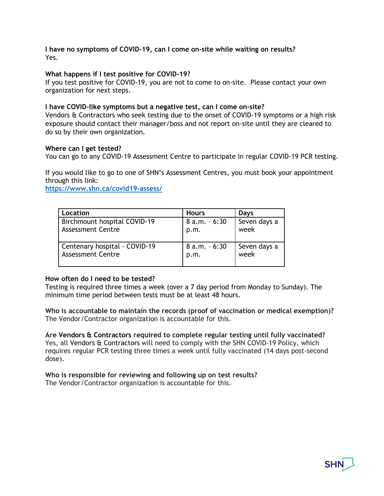# **I have no symptoms of COVID-19, can I come on-site while waiting on results?** Yes.

# **What happens if I test positive for COVID-19?**

If you test positive for COVID-19, you are not to come to on-site. Please contact your own organization for next steps.

## **I have COVID-like symptoms but a negative test, can I come on-site?**

Vendors & Contractors who seek testing due to the onset of COVID-19 symptoms or a high risk exposure should contact their manager/boss and not report on-site until they are cleared to do so by their own organization.

### **Where can I get tested?**

You can go to any COVID-19 Assessment Centre to participate in regular COVID-19 PCR testing.

If you would like to go to one of SHN's Assessment Centres, you must book your appointment through this link:

**https://www.shn.ca/covid19-assess/**

| Location                      | <b>Hours</b>    | Days         |
|-------------------------------|-----------------|--------------|
| Birchmount hospital COVID-19  | $8 a.m. - 6:30$ | Seven days a |
| <b>Assessment Centre</b>      | p.m.            | week         |
| Centenary hospital - COVID-19 | $8 a.m. - 6:30$ | Seven days a |
| <b>Assessment Centre</b>      | p.m.            | week         |

# **How often do I need to be tested?**

Testing is required three times a week (over a 7 day period from Monday to Sunday). The minimum time period between tests must be at least 48 hours.

**Who is accountable to maintain the records (proof of vaccination or medical exemption)?** The Vendor/Contractor organization is accountable for this.

**Are Vendors & Contractors required to complete regular testing until fully vaccinated?** Yes, all Vendors & Contractors will need to comply with the SHN COVID-19 Policy, which requires regular PCR testing three times a week until fully vaccinated (14 days post-second dose).

**Who is responsible for reviewing and following up on test results?** The Vendor/Contractor organization is accountable for this.